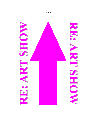

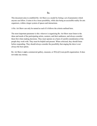Re:

This document aims to establish Re: Art Show as a model by listing a set of parameters which anyone can follow. It aims to be a loose possibility, while also being an accessible reality for arts organizers, within a larger system of spaces and interactions.

A Re: Art Show can only be named as such if it follows the criteria outlined here.

The most important parameter is this: whoever is organizing Re: Art Show must listen to the ideas and needs of the participating artists, curators, and their audiences, and always consider them first when making decisions. They must operate on a basis of careful consideration of the people they work with. They must be helpful and present. When criticized, they should listen before responding. They should always consider the possibility that staging the show is not always the best option.

Re: Art Show is **not** a commercial gallery, museum, or 501(c)(3) non-profit organization. It does not make any money.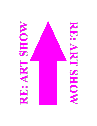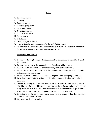#### Re:Re:

- ❏ Free to experience
- ❏ Ongoing
- ❏ Rent-free operation
- ❏ Always a group show
- ❏ Never in a gallery
- ❏ Never in a museum
- ❏ Not tied to one space
- ❏ Space reactive
- ❏ Collaborative
- ❏ (mostly) Organizer funded
- ❏ A space for artists and curators to make the work that they want.
- ❏ An invitation to participate is not a selection of a specific artwork, it is an invitation to let the artist lead – to make new work, or reinterpret old works.

#### **Organizers must always:**

- ❏ Be aware of the people, neighborhood, communities, and businesses around the Re: Art Show space.
- ❏ Research artists local to the community around the Re: Art Show space.
- $\Box$  Be aware of the fact that art-spaces contribute to gentrification / artwashing
- $\Box$  Do not take up / use space in ways that directly contribute to the displacement of people and communities around you.
- ❏ Be open to criticism about how Re: Art Show might be contributing to gentrification.
- ❏ Be willing to cancel a Re: Art Show upon learning that any of the above criteria is not being met.
- ❏ Commit to showing works by queer artists, trans artists, and artists of color. At the time of writing this, the art-world has a problem with showing and representing artwork by too many white, cis, men. Re: Art Show is committed to following in the footsteps of other arts-organizers who called out this problem and are working to change it.
- ❏ Be willing to pay for upfront costs materials, tools, beer, uhauls **when they can** (more details in the MONEY section).
- ❏ Buy beer from their local bodega.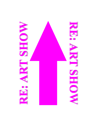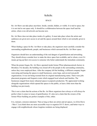## Re:Re:Re:

## SPACE

Re: Art Show can take place anywhere. Inside, outside, hidden, or visible. It is tied to space, but it is not tied to one space only. It should be a collaboration between the space itself and the artists, where even old artwork can become new.

Re: Art Show does not take place inside of a gallery. It must take place where the artists and audiences are given new access to art and the spaces around them which is not normally given to them.

When finding a space for Re: Art Show to take place, the organizers must carefully consider the surrounding neighborhoods, people, and businesses which surround the Re: Art Show space.

Organizers should have an understanding of the real dangers of gentrification and artwashing. They should always consider how to make the show space best available, and to whom, even if it means giving up their own access to someone who better understands the immediate community.

When the project began, Re: Art Show operated inside former Pfizer pharmaceuticals factory in Brooklyn. For decades, the building was closed off to the people in the surrounding community, unless they were employed there. After the company left the building, a different company began renovating and leasing the spaces to small businesses, some large, and several non-profit organizations. It was not being rezoned from its original manufacturing status. There were jobs placement programs and frequent events which engaged local schools and families. The businesses ranged from music rehearsal spaces to popsicle production. We appreciated working alongside organizations which opened the spaces to the public, at least a little more than the building was previously.

This is not a claim that the actions of the Re: Art Show organizers have always or will always be perfect when it comes to issues of gentrification. It's also not a claim that the owners of the former Pfizer building are perfect examples of this, either.

It is, instead, a mission statement. That as long as there are artists and art-spaces, we (Erin Davis / Max C Lee) think there are more accessible ways to organize D-I-Y shows, and better ways to engage with neighborhoods whose longtime residents are being displaced.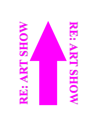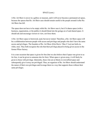#### SPACE (cont.)

A Re: Art Show is never in a gallery or museum, and it will never become a permanent art space, because the spaces that Re: Art Show uses should remain useful to the people around it after Re: Art Show has left.

The space does not have to be empty while Re: Art Show uses it, but if it shares space (with a business, organization, or the public) it should blend into the goings-on of said shared space. It should ask and encourage viewers to view, not force them.

A Re: Art Show space is borrowed, used, but never rented. Therefore, a Re: Art Show space will be a collaboration between people with access and privilege and people who don't have the same access and privileges. The founders of Re: Art Show (Erin Davis / Max C Lee) are both cis, white, men. They both recognize the role that their privilege played in being given access to the former Pfizer factory.

It is a rare occasion that space is given for free (but we also believe that if space was given to us for free, it can be given to someone else for free). When space *is* given away, it will likely be given to those with privilege. Inherently, those who are at liberty to own/afford space and subsequently give it away are privileged. Thus, an organizer of Re: Art Show should understand the nature of their own privileges and leverage them in a way that supports those without their same privileges.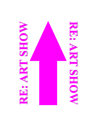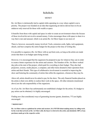## Re:Re:Re:Re:

## **MONEY**

Re: Art Show is intrinsically tied to capital while operating in a way where capital is not a priority. The project was founded on an idea that organizing art shows did not have to be an endeavor only reserved for those with wealth or space.

It benefits from those with capital and space in order to create an environment where the focuses of those involved do not revolve around money. It also encourages those with space to share in a way that is rare and unusual, which is an action Re: Art Show hopes to see more of.

There is, however, necessarily money involved. Tools, extension cords, lights, tech equipment, uhauls, and beer comprise the entire budget for the project at the time of writing this.

It is possible to organize a Re: Art Show with no up-front costs, as long as the artists are made aware that there is no budget upon being invited.

However, it is encouraged that the organizers be prepared to pay for whatever they can in order to create a better experience for the artists and curators. The founders of Re: Art Show worked day-jobs at the start of the project, which paid for everything in their budget. They also had projectors, screens, media players, a computer, and other items donated to their operation from artists and their friends. This type of collaborative involvement is essential to improving the show and fostering the community of artists that orbits the organizers, whomever they may be.

Above all, artists should never be asked to pay for the show. The only financial burden placed on the artists is their own ability to realize their work in the space. All other elements (mentioned above) are the sole responsibility of the organizers.

As of yet, Re: Art Show has unfortunately not established a budget for the artists. If a budget to pay artists can be obtained, it is highly encouraged.

Finding new (but considerate) ways of generating income (grants, donations, ???) are highly encouraged.

#### **\*\*HOWEVER\*\***

Re: Art Show exists as a platform for artists and curators. It is NEVER about making money by selling work. In the event that artwork at Re: Art Show sells, the buyer is referred to the artist, and absolutely 100% of any **purchases made go to the respective artist.**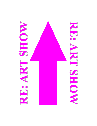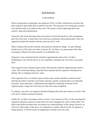# Re:Re:Re:Re:Re:

## CURATORIAL

When inviting artists to participate, the organizers of Re: Art Show should focus on artists and their respective ideas rather than on specific artworks. The same goes for inviting guest curators, who should be able to do whatever they want. This project is about supporting artists and curators' ideas and realizing them.

In practice, this means allowing artists and curators to be the driving force in the arrangement and vibe of the show. It means that if the artist has no preference about placing their works, the organizers should still consider what best suits the artist's work.

When working with an artist remotely, these practices should not change. An open dialogue should occur as if the artist were there in person. Re: Art Show, as a general part of the ethos, encourages working with artists remotely in an affordable way.

Organizers' main curatorial priority should be supporting the artists in Re: Art Show. Establishing a role with this idea at its core establishes a dynamic that will create a successful show.

If the organizers have enlisted a guest curator, their priority should be supporting that curator's vision. This could mean taking a step back from elements that the organizers had planned on dealing with, or changing structures / ideas.

If the organizers have *not* enlisted a guest curator, their curation should be centered around allowing the artists to lead the conversation. Having a specific curatorial idea is not inherently necessary. Artist interaction / collaboration and supportive leadership on the part of the organizers plays a huge role in the success of the show upon completion.

To reiterate, your role as an organizer should be lifting up the artists and curators you enlist. That is the show's default curatorial statement.

Finally, Re: Art Show encourages artists to curate. As an extension of this, we also encourage the organizers and guest-curators to curate their own works alongside the works of other artists. We believe that artists can better their own practice by contextualizing it in this setting. However, as with every other aspect of this show, it is important to consider when/how/why an organizer is taking up space. It will not always be appropriate to include your own work.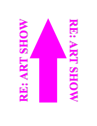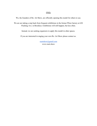#### FWD:

We, the founders of Re: Art Show, are officially opening this model for others to use.

We are are taking a step back from frequent exhibitions in the former Pfizer factory at 630 Flushing Ave. in Brooklyn. Exhibitions will still happen, but less often.

Instead, we are seeking organizers to apply this model in other spaces.

If you are interested in staging your own Re: Art Show please contact us.

[reartshow@gmail.com](mailto:reartshow@gmail.com) www.reart.show